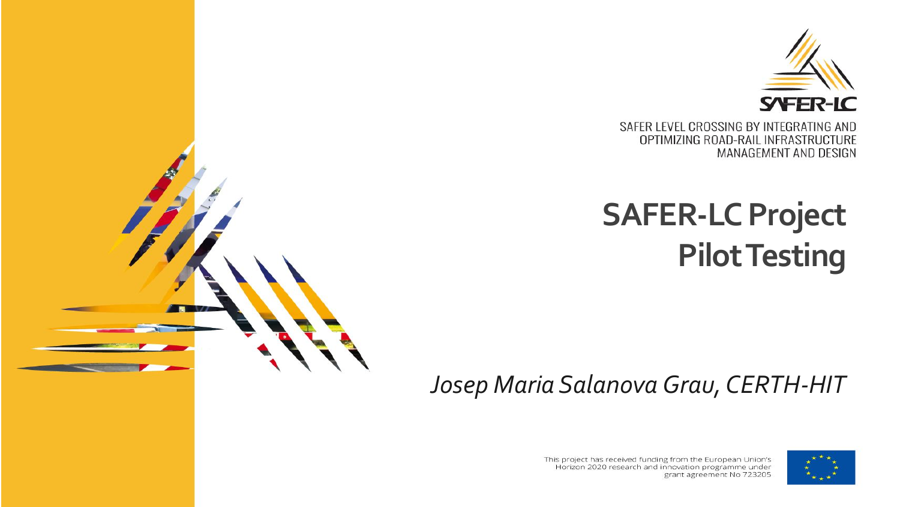

SAFER LEVEL CROSSING BY INTEGRATING AND OPTIMIZING ROAD-RAIL INFRASTRUCTURE MANAGEMENT AND DESIGN

# **SAFER-LC Project Pilot Testing**

*Josep Maria Salanova Grau, CERTH-HIT*





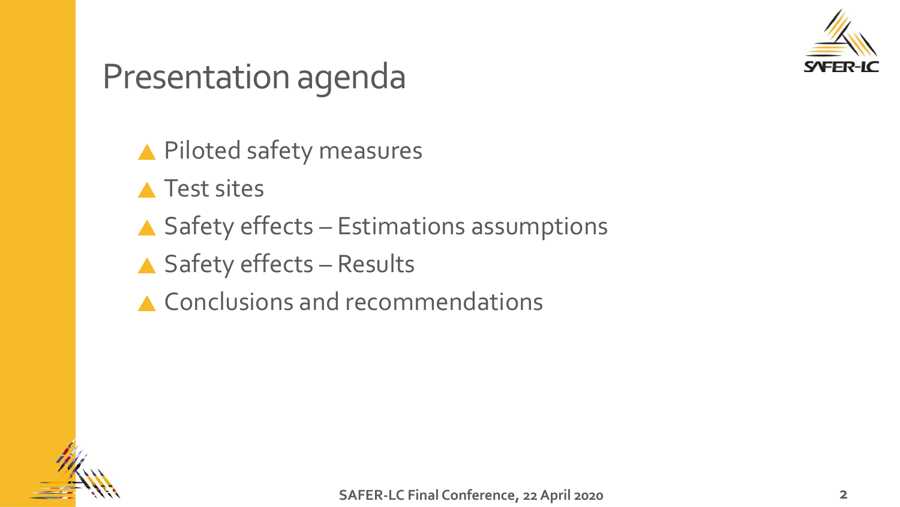

### Presentation agenda

▲ Piloted safety measures

▲ Test sites

 $\triangle$  Safety effects – Estimations assumptions

▲ Safety effects – Results

▲ Conclusions and recommendations

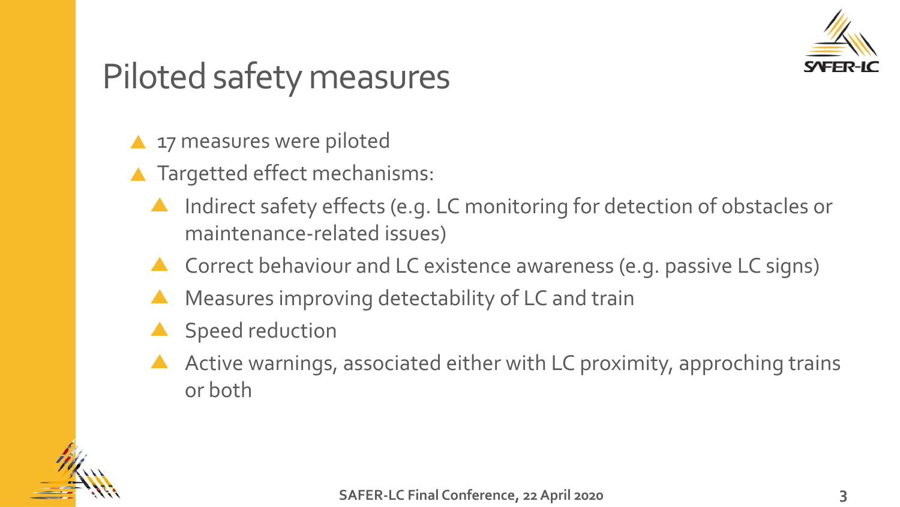

## Piloted safety measures

- **17 measures were piloted**
- ▲ Targetted effect mechanisms:
	- Indirect safety effects (e.g. LC monitoring for detection of obstacles or maintenance-related issues)
	- A Correct behaviour and LC existence awareness (e.g. passive LC signs)
	- Measures improving detectability of LC and train
	- Speed reduction
	- Active warnings, associated either with LC proximity, approching trains or both

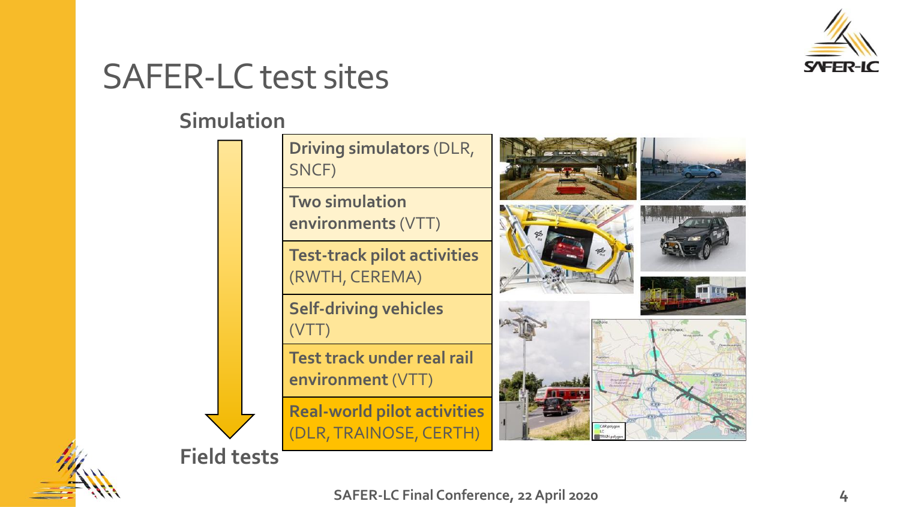

### SAFER-LC test sites

#### **Simulation**



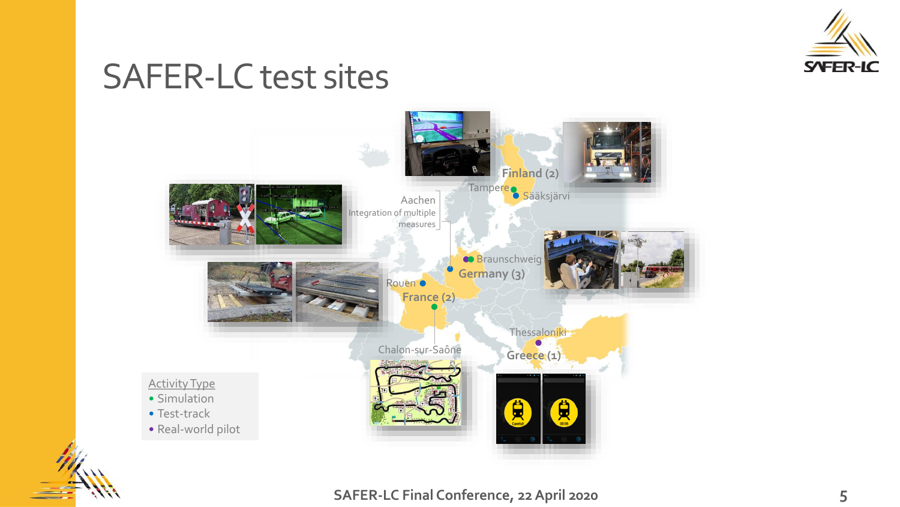

### SAFER-LC test sites

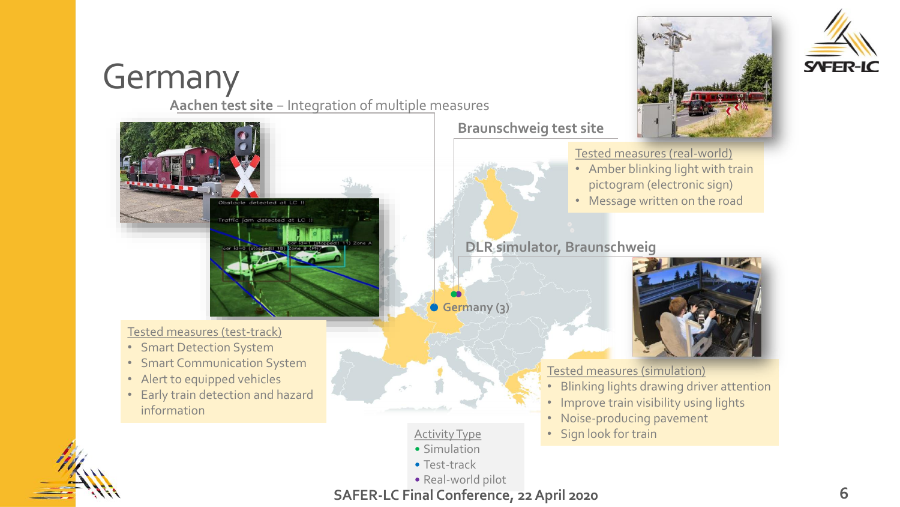# Germany

**Aachen test site** − Integration of multiple measures



• Real-world pilot



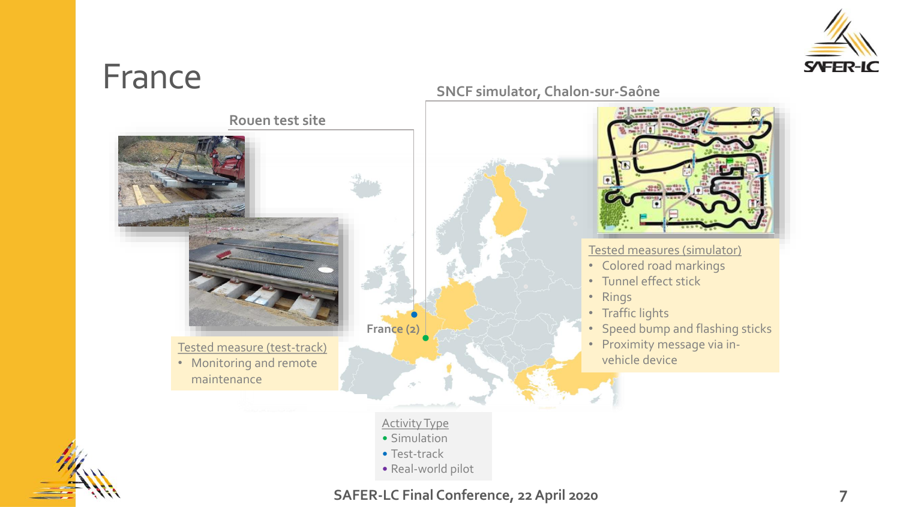

### France

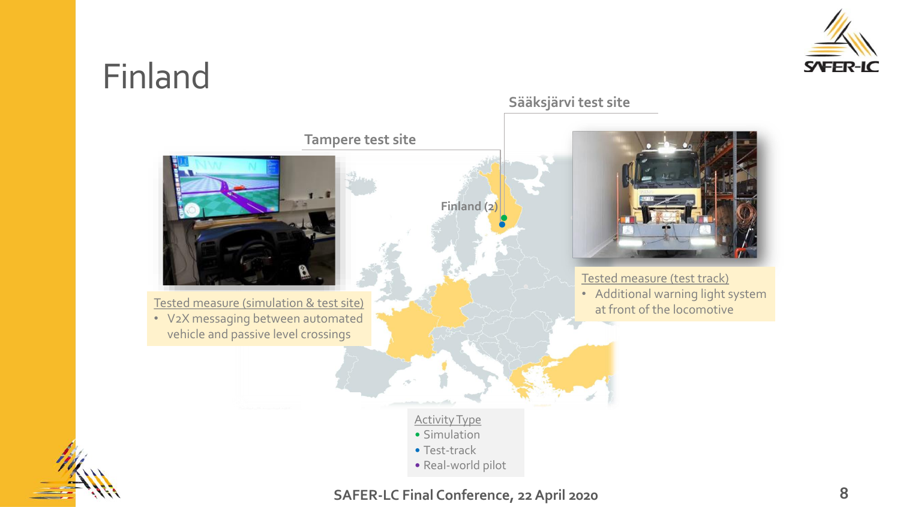

### Finland

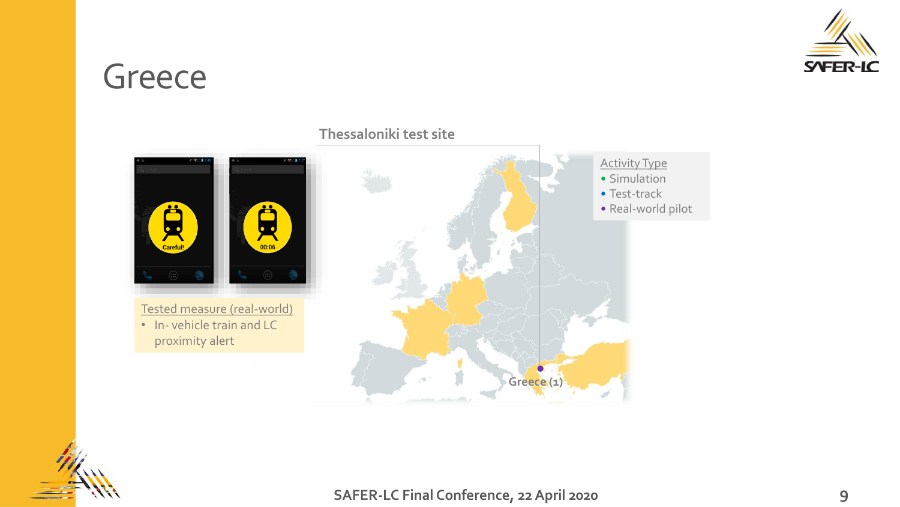

### Greece



#### **Thessaloniki test site**

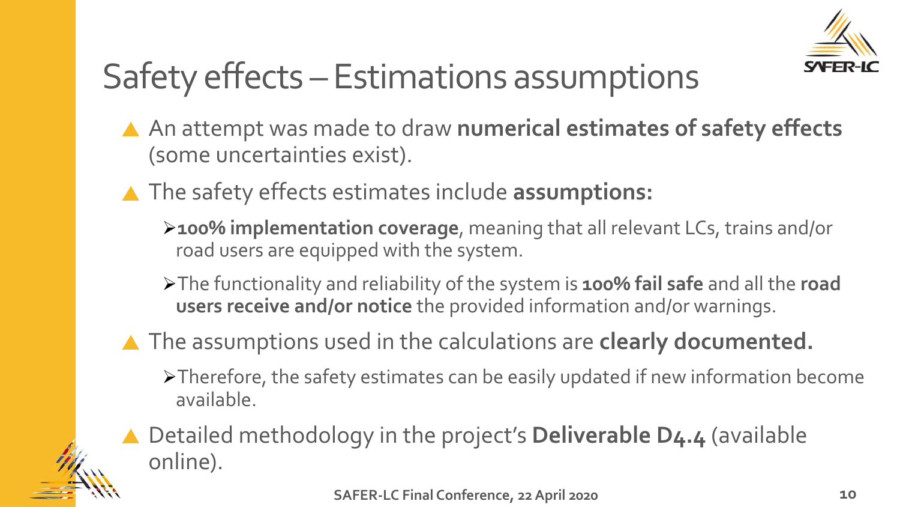

# Safety effects – Estimations assumptions

- An attempt was made to draw **numerical estimates of safety effects** (some uncertainties exist).
- The safety effects estimates include **assumptions:**
	- ➢**100% implementation coverage**, meaning that all relevant LCs, trains and/or road users are equipped with the system.
	- ➢The functionality and reliability of the system is **100% fail safe** and all the **road users receive and/or notice** the provided information and/or warnings.
- The assumptions used in the calculations are **clearly documented.**
	- ➢Therefore, the safety estimates can be easily updated if new information become available.
	- Detailed methodology in the project's **Deliverable D4.4** (available online).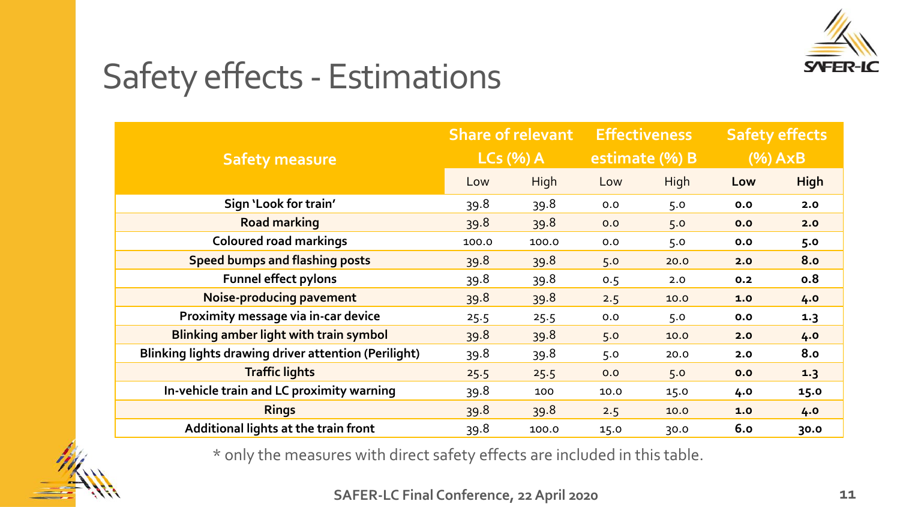

# Safety effects - Estimations

| <b>Safety measure</b>                                | <b>Share of relevant</b> |       | <b>Effectiveness</b> |             | <b>Safety effects</b> |             |
|------------------------------------------------------|--------------------------|-------|----------------------|-------------|-----------------------|-------------|
|                                                      | $LCs$ (%) A              |       | estimate (%) B       |             | $(%)$ AxB             |             |
|                                                      | Low                      | High  | Low                  | <b>High</b> | Low                   | <b>High</b> |
| Sign 'Look for train'                                | 39.8                     | 39.8  | 0.0                  | 5.0         | 0.0                   | 2.0         |
| <b>Road marking</b>                                  | 39.8                     | 39.8  | 0.0                  | 5.0         | 0.0                   | 2.0         |
| <b>Coloured road markings</b>                        | 100.0                    | 100.0 | 0.0                  | 5.0         | 0.0                   | 5.0         |
| <b>Speed bumps and flashing posts</b>                | 39.8                     | 39.8  | 5.0                  | 20.0        | 2.0                   | <b>8.0</b>  |
| <b>Funnel effect pylons</b>                          | 39.8                     | 39.8  | 0.5                  | 2.0         | 0.2                   | 0.8         |
| Noise-producing pavement                             | 39.8                     | 39.8  | 2.5                  | 10.0        | 1.0                   | 4.0         |
| Proximity message via in-car device                  | 25.5                     | 25.5  | 0.0                  | 5.0         | 0.0                   | 1.3         |
| <b>Blinking amber light with train symbol</b>        | 39.8                     | 39.8  | 5.0                  | 10.0        | 2.0                   | 4.0         |
| Blinking lights drawing driver attention (Perilight) | 39.8                     | 39.8  | 5.0                  | 20.0        | 2.0                   | 8.0         |
| <b>Traffic lights</b>                                | 25.5                     | 25.5  | 0.0                  | 5.0         | 0.0                   | 1.3         |
| In-vehicle train and LC proximity warning            | 39.8                     | 100   | 10.0                 | 15.0        | 4.0                   | 15.0        |
| <b>Rings</b>                                         | 39.8                     | 39.8  | 2.5                  | 10.0        | 1.0                   | 4.0         |
| Additional lights at the train front                 | 39.8                     | 100.0 | 15.0                 | 30.0        | 6.0                   | 30.0        |

\* οnly the measures with direct safety effects are included in this table.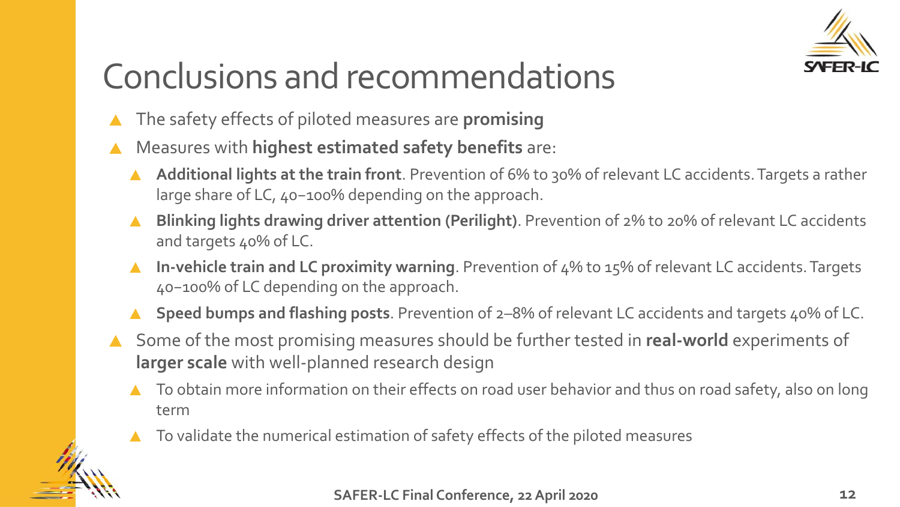

# Conclusions and recommendations

- The safety effects of piloted measures are **promising**
- Measures with **highest estimated safety benefits** are:
	- **Additional lights at the train front**. Prevention of 6% to 30% of relevant LC accidents. Targets a rather large share of LC, 40−100% depending on the approach.
	- **Blinking lights drawing driver attention (Perilight)**. Prevention of 2% to 20% of relevant LC accidents and targets 40% of LC.
	- **In-vehicle train and LC proximity warning**. Prevention of 4% to 15% of relevant LC accidents. Targets  $\blacktriangle$ 40−100% of LC depending on the approach.
	- **Speed bumps and flashing posts**. Prevention of 2–8% of relevant LC accidents and targets 40% of LC.
- Some of the most promising measures should be further tested in **real-world** experiments of **larger scale** with well-planned research design
	- To obtain more information on their effects on road user behavior and thus on road safety, also on long term
	- To validate the numerical estimation of safety effects of the piloted measures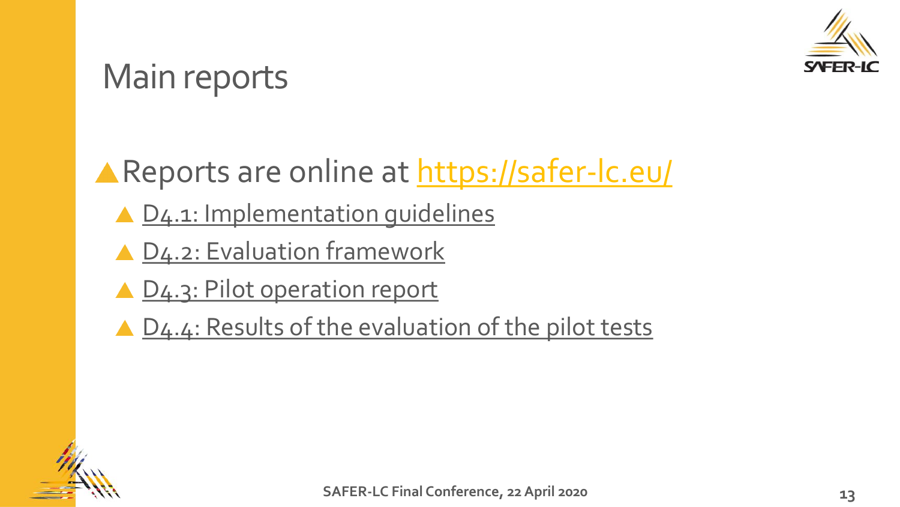

### Main reports

**A Reports are online at <https://safer-lc.eu/>** 

- ▲ D4.1: Implementation quidelines
- ▲ [D4.2: Evaluation framework](https://safer-lc.eu/IMG/pdf/saferlc_20180430_d42_v13_dlr_evaluation_framework.pdf)
- ▲ [D4.3: Pilot operation report](https://safer-lc.eu/IMG/pdf/saferlc_20190726_d43_v04_uniroma3_pilot_operation_report.pdf)
- ▲ [D4.4: Results of the evaluation of the pilot tests](https://safer-lc.eu/IMG/pdf/saferlc_20191231_d44_v07_vtt_results_of_the_evaluation_of_the_pilot_tests.pdf)